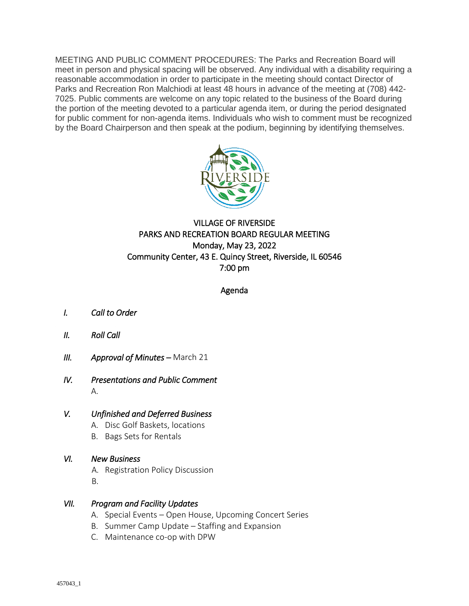MEETING AND PUBLIC COMMENT PROCEDURES: The Parks and Recreation Board will meet in person and physical spacing will be observed. Any individual with a disability requiring a reasonable accommodation in order to participate in the meeting should contact Director of Parks and Recreation Ron Malchiodi at least 48 hours in advance of the meeting at (708) 442- 7025. Public comments are welcome on any topic related to the business of the Board during the portion of the meeting devoted to a particular agenda item, or during the period designated for public comment for non-agenda items. Individuals who wish to comment must be recognized by the Board Chairperson and then speak at the podium, beginning by identifying themselves.



# VILLAGE OF RIVERSIDE PARKS AND RECREATION BOARD REGULAR MEETING Monday, May 23, 2022 Community Center, 43 E. Quincy Street, Riverside, IL 60546 7:00 pm

### Agenda

- *I. Call to Order*
- *II. Roll Call*
- *III. Approval of Minutes March 21*
- *IV. Presentations and Public Comment*  A.

### *V. Unfinished and Deferred Business*

- A. Disc Golf Baskets, locations
- B. Bags Sets for Rentals
- *VI. New Business* 
	- A. Registration Policy Discussion B.

## *VII. Program and Facility Updates*

- A. Special Events Open House, Upcoming Concert Series
- B. Summer Camp Update Staffing and Expansion
- C. Maintenance co-op with DPW